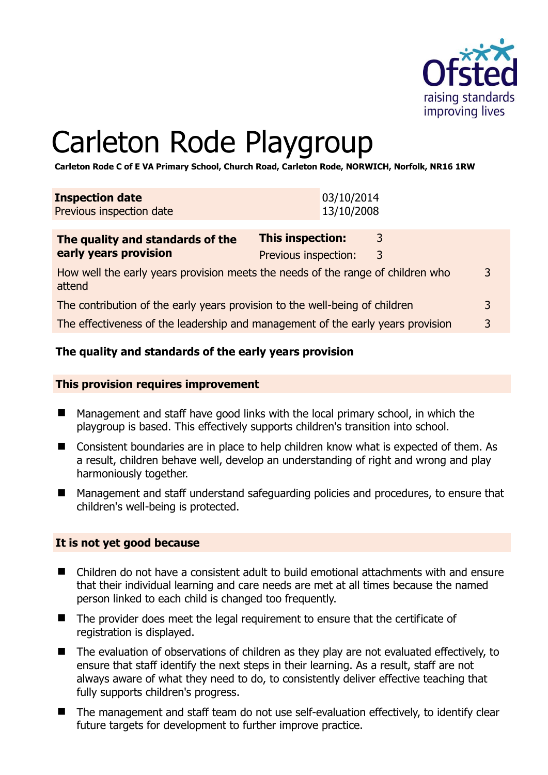

# Carleton Rode Playgroup

**Carleton Rode C of E VA Primary School, Church Road, Carleton Rode, NORWICH, Norfolk, NR16 1RW** 

| <b>Inspection date</b><br>Previous inspection date |                  | 03/10/2014<br>13/10/2008 |  |
|----------------------------------------------------|------------------|--------------------------|--|
| The curality and chanderds of the                  | Thic incnaction: |                          |  |

| The quality and standards of the                                                          | <b>This inspection:</b> | 3 |   |
|-------------------------------------------------------------------------------------------|-------------------------|---|---|
| early years provision                                                                     | Previous inspection:    | 3 |   |
| How well the early years provision meets the needs of the range of children who<br>attend |                         |   | 3 |
| The contribution of the early years provision to the well-being of children               |                         |   | 3 |
| The effectiveness of the leadership and management of the early years provision           |                         | 2 |   |

#### **The quality and standards of the early years provision**

#### **This provision requires improvement**

- Management and staff have good links with the local primary school, in which the playgroup is based. This effectively supports children's transition into school.
- Consistent boundaries are in place to help children know what is expected of them. As a result, children behave well, develop an understanding of right and wrong and play harmoniously together.
- Management and staff understand safeguarding policies and procedures, to ensure that children's well-being is protected.

#### **It is not yet good because**

- Children do not have a consistent adult to build emotional attachments with and ensure that their individual learning and care needs are met at all times because the named person linked to each child is changed too frequently.
- The provider does meet the legal requirement to ensure that the certificate of registration is displayed.
- The evaluation of observations of children as they play are not evaluated effectively, to ensure that staff identify the next steps in their learning. As a result, staff are not always aware of what they need to do, to consistently deliver effective teaching that fully supports children's progress.
- The management and staff team do not use self-evaluation effectively, to identify clear future targets for development to further improve practice.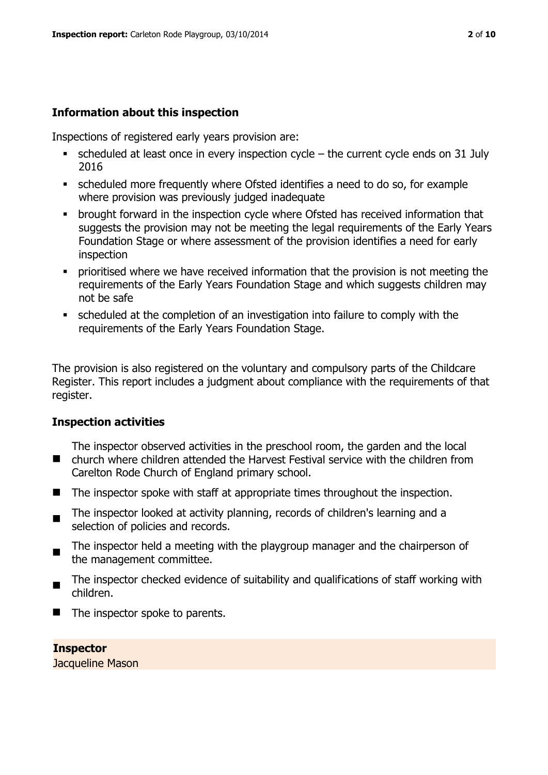#### **Information about this inspection**

Inspections of registered early years provision are:

- $\bullet$  scheduled at least once in every inspection cycle the current cycle ends on 31 July 2016
- scheduled more frequently where Ofsted identifies a need to do so, for example where provision was previously judged inadequate
- **•** brought forward in the inspection cycle where Ofsted has received information that suggests the provision may not be meeting the legal requirements of the Early Years Foundation Stage or where assessment of the provision identifies a need for early inspection
- **Prioritised where we have received information that the provision is not meeting the** requirements of the Early Years Foundation Stage and which suggests children may not be safe
- scheduled at the completion of an investigation into failure to comply with the requirements of the Early Years Foundation Stage.

The provision is also registered on the voluntary and compulsory parts of the Childcare Register. This report includes a judgment about compliance with the requirements of that register.

#### **Inspection activities**

■ church where children attended the Harvest Festival service with the children from The inspector observed activities in the preschool room, the garden and the local Carelton Rode Church of England primary school.

- $\blacksquare$  The inspector spoke with staff at appropriate times throughout the inspection.
- $\blacksquare$ The inspector looked at activity planning, records of children's learning and a selection of policies and records.
- The inspector held a meeting with the playgroup manager and the chairperson of the management committee.
- The inspector checked evidence of suitability and qualifications of staff working with children.
- $\blacksquare$  The inspector spoke to parents.

#### **Inspector**  Jacqueline Mason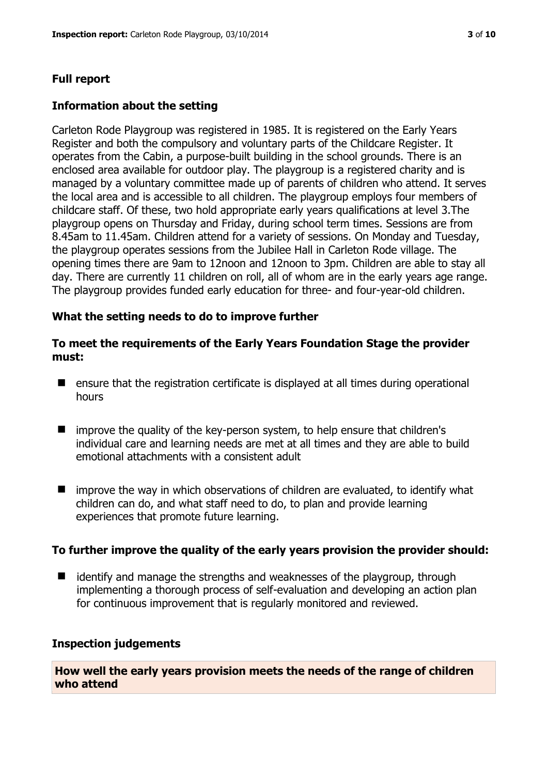# **Full report**

### **Information about the setting**

Carleton Rode Playgroup was registered in 1985. It is registered on the Early Years Register and both the compulsory and voluntary parts of the Childcare Register. It operates from the Cabin, a purpose-built building in the school grounds. There is an enclosed area available for outdoor play. The playgroup is a registered charity and is managed by a voluntary committee made up of parents of children who attend. It serves the local area and is accessible to all children. The playgroup employs four members of childcare staff. Of these, two hold appropriate early years qualifications at level 3.The playgroup opens on Thursday and Friday, during school term times. Sessions are from 8.45am to 11.45am. Children attend for a variety of sessions. On Monday and Tuesday, the playgroup operates sessions from the Jubilee Hall in Carleton Rode village. The opening times there are 9am to 12noon and 12noon to 3pm. Children are able to stay all day. There are currently 11 children on roll, all of whom are in the early years age range. The playgroup provides funded early education for three- and four-year-old children.

#### **What the setting needs to do to improve further**

#### **To meet the requirements of the Early Years Foundation Stage the provider must:**

- ensure that the registration certificate is displayed at all times during operational hours
- improve the quality of the key-person system, to help ensure that children's individual care and learning needs are met at all times and they are able to build emotional attachments with a consistent adult
- $\blacksquare$  improve the way in which observations of children are evaluated, to identify what children can do, and what staff need to do, to plan and provide learning experiences that promote future learning.

#### **To further improve the quality of the early years provision the provider should:**

■ identify and manage the strengths and weaknesses of the playgroup, through implementing a thorough process of self-evaluation and developing an action plan for continuous improvement that is regularly monitored and reviewed.

#### **Inspection judgements**

**How well the early years provision meets the needs of the range of children who attend**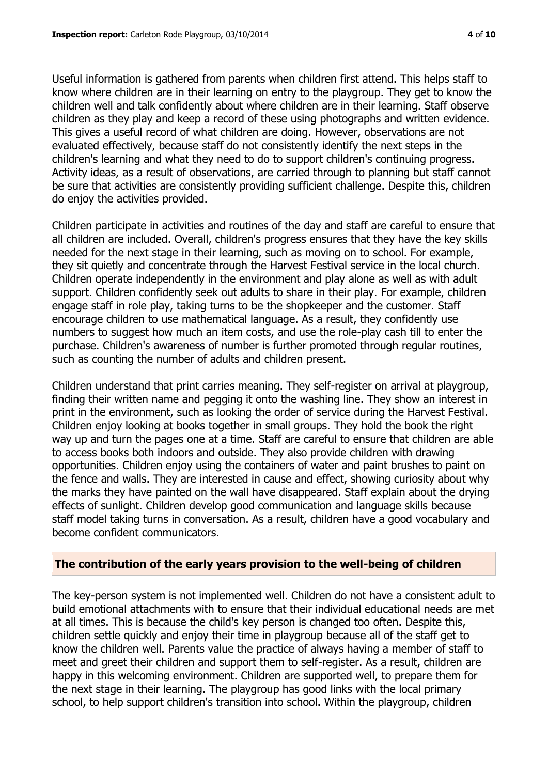Useful information is gathered from parents when children first attend. This helps staff to know where children are in their learning on entry to the playgroup. They get to know the children well and talk confidently about where children are in their learning. Staff observe children as they play and keep a record of these using photographs and written evidence. This gives a useful record of what children are doing. However, observations are not evaluated effectively, because staff do not consistently identify the next steps in the children's learning and what they need to do to support children's continuing progress. Activity ideas, as a result of observations, are carried through to planning but staff cannot be sure that activities are consistently providing sufficient challenge. Despite this, children do enjoy the activities provided.

Children participate in activities and routines of the day and staff are careful to ensure that all children are included. Overall, children's progress ensures that they have the key skills needed for the next stage in their learning, such as moving on to school. For example, they sit quietly and concentrate through the Harvest Festival service in the local church. Children operate independently in the environment and play alone as well as with adult support. Children confidently seek out adults to share in their play. For example, children engage staff in role play, taking turns to be the shopkeeper and the customer. Staff encourage children to use mathematical language. As a result, they confidently use numbers to suggest how much an item costs, and use the role-play cash till to enter the purchase. Children's awareness of number is further promoted through regular routines, such as counting the number of adults and children present.

Children understand that print carries meaning. They self-register on arrival at playgroup, finding their written name and pegging it onto the washing line. They show an interest in print in the environment, such as looking the order of service during the Harvest Festival. Children enjoy looking at books together in small groups. They hold the book the right way up and turn the pages one at a time. Staff are careful to ensure that children are able to access books both indoors and outside. They also provide children with drawing opportunities. Children enjoy using the containers of water and paint brushes to paint on the fence and walls. They are interested in cause and effect, showing curiosity about why the marks they have painted on the wall have disappeared. Staff explain about the drying effects of sunlight. Children develop good communication and language skills because staff model taking turns in conversation. As a result, children have a good vocabulary and become confident communicators.

#### **The contribution of the early years provision to the well-being of children**

The key-person system is not implemented well. Children do not have a consistent adult to build emotional attachments with to ensure that their individual educational needs are met at all times. This is because the child's key person is changed too often. Despite this, children settle quickly and enjoy their time in playgroup because all of the staff get to know the children well. Parents value the practice of always having a member of staff to meet and greet their children and support them to self-register. As a result, children are happy in this welcoming environment. Children are supported well, to prepare them for the next stage in their learning. The playgroup has good links with the local primary school, to help support children's transition into school. Within the playgroup, children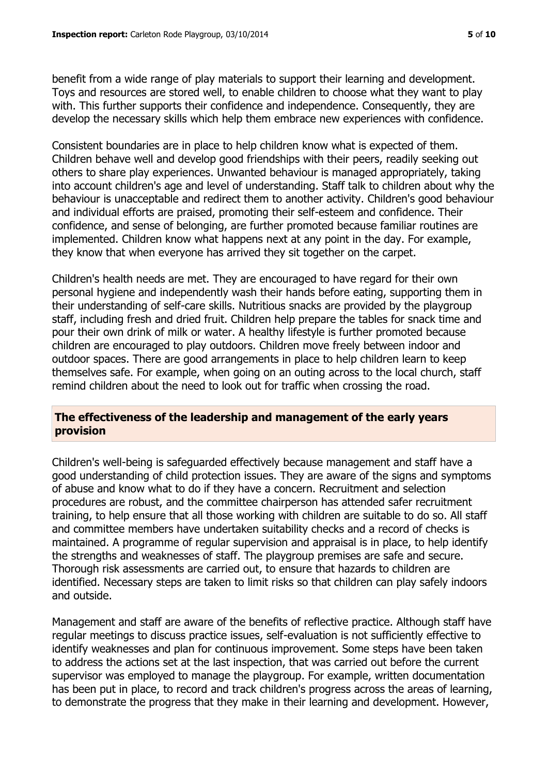benefit from a wide range of play materials to support their learning and development. Toys and resources are stored well, to enable children to choose what they want to play with. This further supports their confidence and independence. Consequently, they are develop the necessary skills which help them embrace new experiences with confidence.

Consistent boundaries are in place to help children know what is expected of them. Children behave well and develop good friendships with their peers, readily seeking out others to share play experiences. Unwanted behaviour is managed appropriately, taking into account children's age and level of understanding. Staff talk to children about why the behaviour is unacceptable and redirect them to another activity. Children's good behaviour and individual efforts are praised, promoting their self-esteem and confidence. Their confidence, and sense of belonging, are further promoted because familiar routines are implemented. Children know what happens next at any point in the day. For example, they know that when everyone has arrived they sit together on the carpet.

Children's health needs are met. They are encouraged to have regard for their own personal hygiene and independently wash their hands before eating, supporting them in their understanding of self-care skills. Nutritious snacks are provided by the playgroup staff, including fresh and dried fruit. Children help prepare the tables for snack time and pour their own drink of milk or water. A healthy lifestyle is further promoted because children are encouraged to play outdoors. Children move freely between indoor and outdoor spaces. There are good arrangements in place to help children learn to keep themselves safe. For example, when going on an outing across to the local church, staff remind children about the need to look out for traffic when crossing the road.

# **The effectiveness of the leadership and management of the early years provision**

Children's well-being is safeguarded effectively because management and staff have a good understanding of child protection issues. They are aware of the signs and symptoms of abuse and know what to do if they have a concern. Recruitment and selection procedures are robust, and the committee chairperson has attended safer recruitment training, to help ensure that all those working with children are suitable to do so. All staff and committee members have undertaken suitability checks and a record of checks is maintained. A programme of regular supervision and appraisal is in place, to help identify the strengths and weaknesses of staff. The playgroup premises are safe and secure. Thorough risk assessments are carried out, to ensure that hazards to children are identified. Necessary steps are taken to limit risks so that children can play safely indoors and outside.

Management and staff are aware of the benefits of reflective practice. Although staff have regular meetings to discuss practice issues, self-evaluation is not sufficiently effective to identify weaknesses and plan for continuous improvement. Some steps have been taken to address the actions set at the last inspection, that was carried out before the current supervisor was employed to manage the playgroup. For example, written documentation has been put in place, to record and track children's progress across the areas of learning, to demonstrate the progress that they make in their learning and development. However,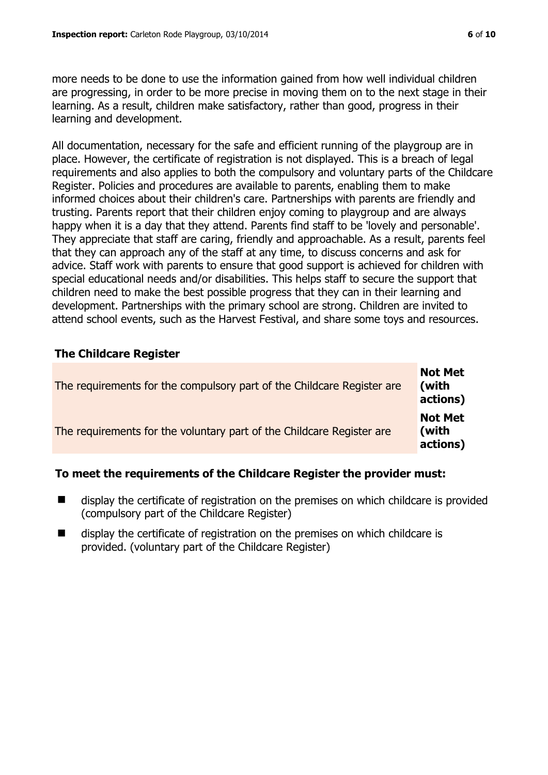more needs to be done to use the information gained from how well individual children are progressing, in order to be more precise in moving them on to the next stage in their learning. As a result, children make satisfactory, rather than good, progress in their learning and development.

All documentation, necessary for the safe and efficient running of the playgroup are in place. However, the certificate of registration is not displayed. This is a breach of legal requirements and also applies to both the compulsory and voluntary parts of the Childcare Register. Policies and procedures are available to parents, enabling them to make informed choices about their children's care. Partnerships with parents are friendly and trusting. Parents report that their children enjoy coming to playgroup and are always happy when it is a day that they attend. Parents find staff to be 'lovely and personable'. They appreciate that staff are caring, friendly and approachable. As a result, parents feel that they can approach any of the staff at any time, to discuss concerns and ask for advice. Staff work with parents to ensure that good support is achieved for children with special educational needs and/or disabilities. This helps staff to secure the support that children need to make the best possible progress that they can in their learning and development. Partnerships with the primary school are strong. Children are invited to attend school events, such as the Harvest Festival, and share some toys and resources.

# **The Childcare Register**

| The requirements for the compulsory part of the Childcare Register are | <b>Not Met</b><br>(with<br>actions) |
|------------------------------------------------------------------------|-------------------------------------|
| The requirements for the voluntary part of the Childcare Register are  | <b>Not Met</b><br>(with<br>actions) |

# **To meet the requirements of the Childcare Register the provider must:**

- display the certificate of registration on the premises on which childcare is provided (compulsory part of the Childcare Register)
- display the certificate of registration on the premises on which childcare is provided. (voluntary part of the Childcare Register)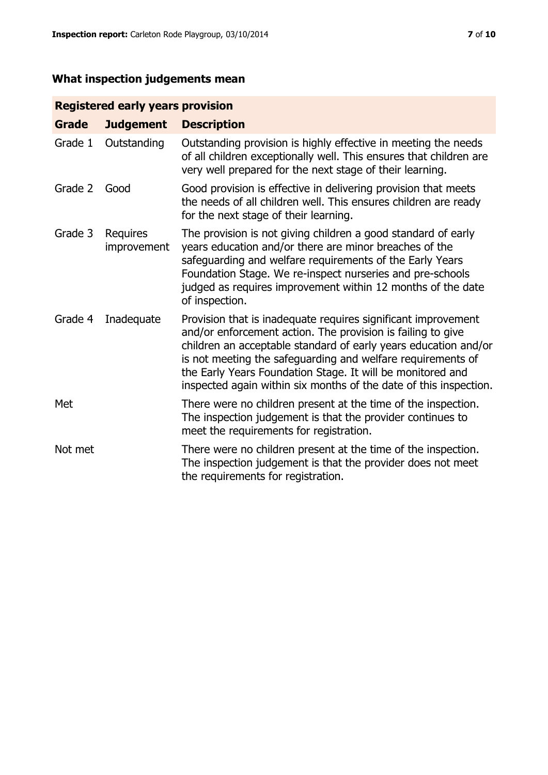# **What inspection judgements mean**

# **Registered early years provision**

| <b>Grade</b> | <b>Judgement</b>               | <b>Description</b>                                                                                                                                                                                                                                                                                                                                                                                |
|--------------|--------------------------------|---------------------------------------------------------------------------------------------------------------------------------------------------------------------------------------------------------------------------------------------------------------------------------------------------------------------------------------------------------------------------------------------------|
| Grade 1      | Outstanding                    | Outstanding provision is highly effective in meeting the needs<br>of all children exceptionally well. This ensures that children are<br>very well prepared for the next stage of their learning.                                                                                                                                                                                                  |
| Grade 2      | Good                           | Good provision is effective in delivering provision that meets<br>the needs of all children well. This ensures children are ready<br>for the next stage of their learning.                                                                                                                                                                                                                        |
| Grade 3      | <b>Requires</b><br>improvement | The provision is not giving children a good standard of early<br>years education and/or there are minor breaches of the<br>safeguarding and welfare requirements of the Early Years<br>Foundation Stage. We re-inspect nurseries and pre-schools<br>judged as requires improvement within 12 months of the date<br>of inspection.                                                                 |
| Grade 4      | Inadequate                     | Provision that is inadequate requires significant improvement<br>and/or enforcement action. The provision is failing to give<br>children an acceptable standard of early years education and/or<br>is not meeting the safeguarding and welfare requirements of<br>the Early Years Foundation Stage. It will be monitored and<br>inspected again within six months of the date of this inspection. |
| Met          |                                | There were no children present at the time of the inspection.<br>The inspection judgement is that the provider continues to<br>meet the requirements for registration.                                                                                                                                                                                                                            |
| Not met      |                                | There were no children present at the time of the inspection.<br>The inspection judgement is that the provider does not meet<br>the requirements for registration.                                                                                                                                                                                                                                |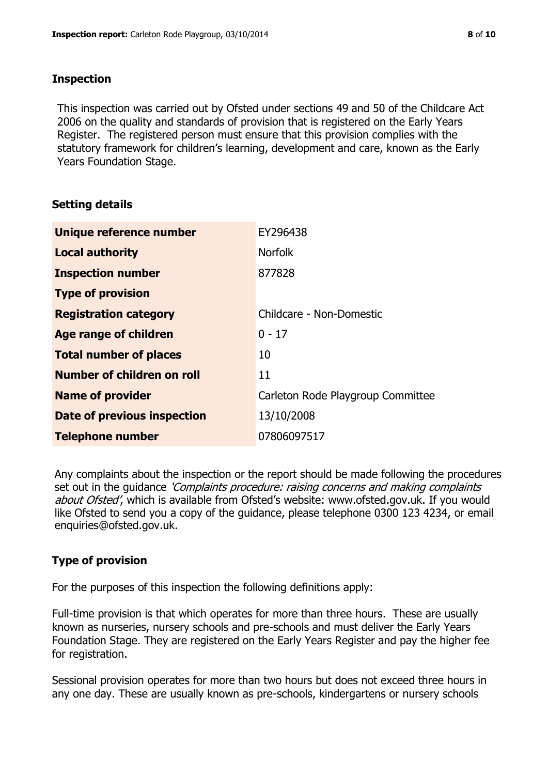#### **Inspection**

This inspection was carried out by Ofsted under sections 49 and 50 of the Childcare Act 2006 on the quality and standards of provision that is registered on the Early Years Register. The registered person must ensure that this provision complies with the statutory framework for children's learning, development and care, known as the Early Years Foundation Stage.

# **Setting details**

| Unique reference number       | EY296438                          |
|-------------------------------|-----------------------------------|
| <b>Local authority</b>        | <b>Norfolk</b>                    |
| <b>Inspection number</b>      | 877828                            |
| <b>Type of provision</b>      |                                   |
| <b>Registration category</b>  | Childcare - Non-Domestic          |
| Age range of children         | $0 - 17$                          |
| <b>Total number of places</b> | 10                                |
| Number of children on roll    | 11                                |
| <b>Name of provider</b>       | Carleton Rode Playgroup Committee |
| Date of previous inspection   | 13/10/2008                        |
| <b>Telephone number</b>       | 07806097517                       |

Any complaints about the inspection or the report should be made following the procedures set out in the guidance *'Complaints procedure: raising concerns and making complaints* about Ofsted', which is available from Ofsted's website: www.ofsted.gov.uk. If you would like Ofsted to send you a copy of the guidance, please telephone 0300 123 4234, or email enquiries@ofsted.gov.uk.

# **Type of provision**

For the purposes of this inspection the following definitions apply:

Full-time provision is that which operates for more than three hours. These are usually known as nurseries, nursery schools and pre-schools and must deliver the Early Years Foundation Stage. They are registered on the Early Years Register and pay the higher fee for registration.

Sessional provision operates for more than two hours but does not exceed three hours in any one day. These are usually known as pre-schools, kindergartens or nursery schools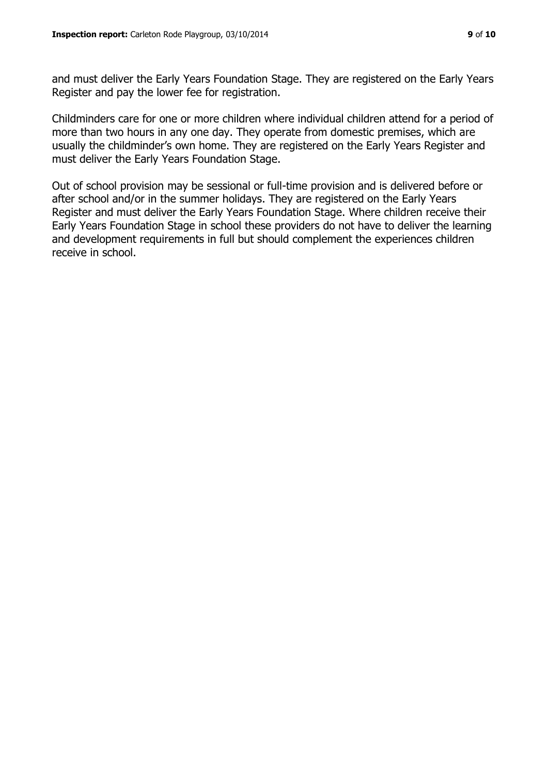and must deliver the Early Years Foundation Stage. They are registered on the Early Years Register and pay the lower fee for registration.

Childminders care for one or more children where individual children attend for a period of more than two hours in any one day. They operate from domestic premises, which are usually the childminder's own home. They are registered on the Early Years Register and must deliver the Early Years Foundation Stage.

Out of school provision may be sessional or full-time provision and is delivered before or after school and/or in the summer holidays. They are registered on the Early Years Register and must deliver the Early Years Foundation Stage. Where children receive their Early Years Foundation Stage in school these providers do not have to deliver the learning and development requirements in full but should complement the experiences children receive in school.